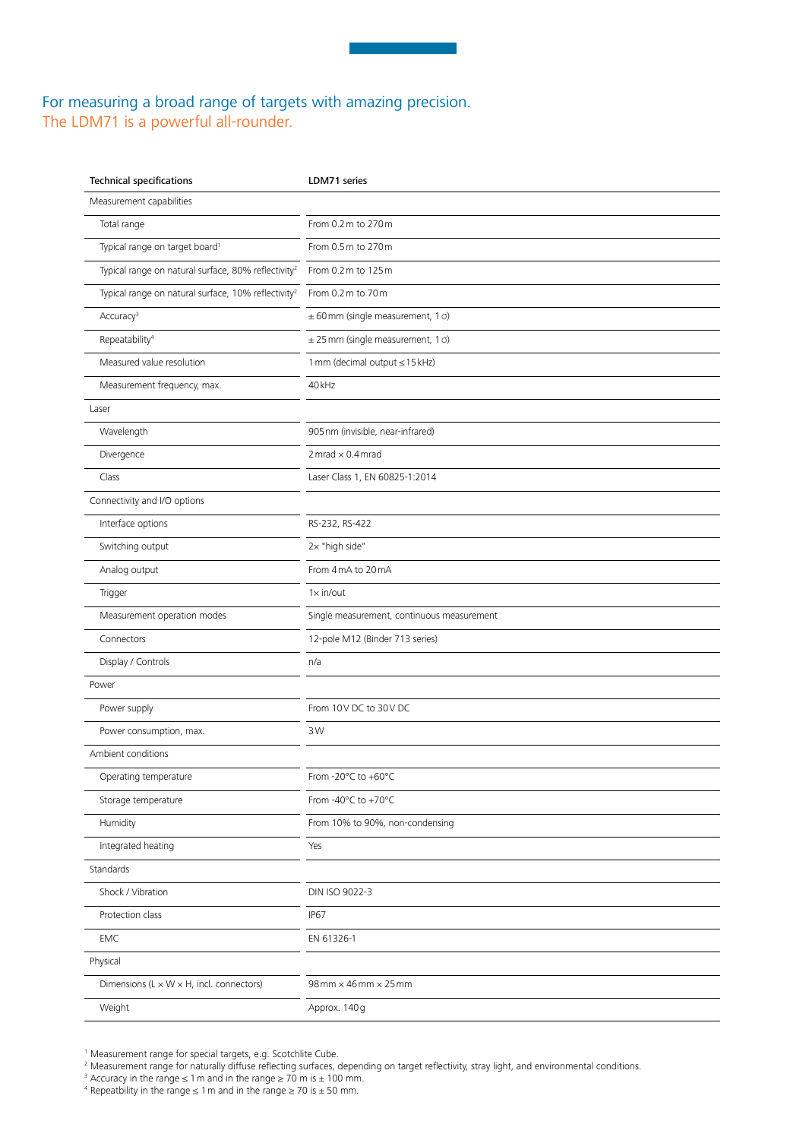## For measuring a broad range of targets with amazing precision. The LDM71 is a powerful all-rounder.

| <b>Technical specifications</b>                                 | LDM71 series                                  |
|-----------------------------------------------------------------|-----------------------------------------------|
| Measurement capabilities                                        |                                               |
| Total range                                                     | From 0.2 m to 270 m                           |
| Typical range on target board <sup>1</sup>                      | From 0.5 m to 270 m                           |
| Typical range on natural surface, 80% reflectivity <sup>2</sup> | From 0.2 m to 125 m                           |
| Typical range on natural surface, 10% reflectivity <sup>2</sup> | From 0.2 m to 70 m                            |
| Accuracy <sup>3</sup>                                           | $\pm$ 60 mm (single measurement, 1 $\sigma$ ) |
| Repeatability <sup>4</sup>                                      | $\pm$ 25 mm (single measurement, 1 $\sigma$ ) |
| Measured value resolution                                       | 1 mm (decimal output ≤ 15 kHz)                |
| Measurement frequency, max.                                     | 40 <sub>kHz</sub>                             |
| Laser                                                           |                                               |
| Wavelength                                                      | 905 nm (invisible, near-infrared)             |
| Divergence                                                      | $2 mrad \times 0.4 mrad$                      |
| Class                                                           | Laser Class 1, EN 60825-1:2014                |
| Connectivity and I/O options                                    |                                               |
| Interface options                                               | RS-232, RS-422                                |
| Switching output                                                | 2x "high side"                                |
| Analog output                                                   | From 4 mA to 20 mA                            |
| Trigger                                                         | $1 \times in/out$                             |
| Measurement operation modes                                     | Single measurement, continuous measurement    |
| Connectors                                                      | 12-pole M12 (Binder 713 series)               |
| Display / Controls                                              | n/a                                           |
| Power                                                           |                                               |
| Power supply                                                    | From 10V DC to 30V DC                         |
| Power consumption, max.                                         | 3W                                            |
| Ambient conditions                                              |                                               |
| Operating temperature                                           | From -20°C to +60°C                           |
| Storage temperature                                             | From -40°C to +70°C                           |
| Humidity                                                        | From 10% to 90%, non-condensing               |
| Integrated heating                                              | Yes                                           |
| Standards                                                       |                                               |
| Shock / Vibration                                               | DIN ISO 9022-3                                |
| Protection class                                                | <b>IP67</b>                                   |
| EMC                                                             | EN 61326-1                                    |
| Physical                                                        |                                               |
| Dimensions (L $\times$ W $\times$ H, incl. connectors)          | $98$ mm $\times$ 46 mm $\times$ 25 mm         |
| Weight                                                          | Approx. 140 g                                 |

<sup>1</sup> Measurement range for special targets, e.g. Scotchlite Cube.

<sup>2</sup> Measurement range for naturally diffuse reflecting surfaces, depending on target reflectivity, stray light, and environmental conditions.

<sup>&</sup>lt;sup>3</sup> Accuracy in the range  $\leq 1$  m and in the range  $\geq 70$  m is  $\pm 100$  mm.

<sup>4</sup> Repeatbility in the range  $\leq 1$  m and in the range  $\geq 70$  is  $\pm 50$  mm.